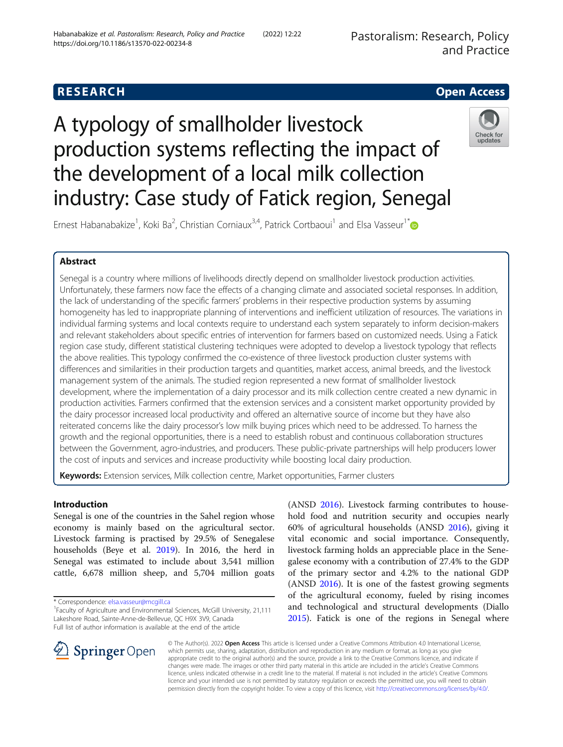## **RESEARCH CHE Open Access**

# A typology of smallholder livestock production systems reflecting the impact of the development of a local milk collection industry: Case study of Fatick region, Senegal



Ernest Habanabakize<sup>1</sup>, Koki Ba<sup>2</sup>, Christian Corniaux<sup>3,4</sup>, Patrick Cortbaoui<sup>1</sup> and Elsa Vasseur<sup>1\*</sup>

## Abstract

Senegal is a country where millions of livelihoods directly depend on smallholder livestock production activities. Unfortunately, these farmers now face the effects of a changing climate and associated societal responses. In addition, the lack of understanding of the specific farmers' problems in their respective production systems by assuming homogeneity has led to inappropriate planning of interventions and inefficient utilization of resources. The variations in individual farming systems and local contexts require to understand each system separately to inform decision-makers and relevant stakeholders about specific entries of intervention for farmers based on customized needs. Using a Fatick region case study, different statistical clustering techniques were adopted to develop a livestock typology that reflects the above realities. This typology confirmed the co-existence of three livestock production cluster systems with differences and similarities in their production targets and quantities, market access, animal breeds, and the livestock management system of the animals. The studied region represented a new format of smallholder livestock development, where the implementation of a dairy processor and its milk collection centre created a new dynamic in production activities. Farmers confirmed that the extension services and a consistent market opportunity provided by the dairy processor increased local productivity and offered an alternative source of income but they have also reiterated concerns like the dairy processor's low milk buying prices which need to be addressed. To harness the growth and the regional opportunities, there is a need to establish robust and continuous collaboration structures between the Government, agro-industries, and producers. These public-private partnerships will help producers lower the cost of inputs and services and increase productivity while boosting local dairy production.

Keywords: Extension services, Milk collection centre, Market opportunities, Farmer clusters

## Introduction

Senegal is one of the countries in the Sahel region whose economy is mainly based on the agricultural sector. Livestock farming is practised by 29.5% of Senegalese households (Beye et al. [2019](#page-12-0)). In 2016, the herd in Senegal was estimated to include about 3,541 million cattle, 6,678 million sheep, and 5,704 million goats

\* Correspondence: [elsa.vasseur@mcgill.ca](mailto:elsa.vasseur@mcgill.ca) <sup>1</sup>

hold food and nutrition security and occupies nearly 60% of agricultural households (ANSD [2016](#page-12-0)), giving it vital economic and social importance. Consequently, livestock farming holds an appreciable place in the Senegalese economy with a contribution of 27.4% to the GDP of the primary sector and 4.2% to the national GDP (ANSD [2016\)](#page-12-0). It is one of the fastest growing segments of the agricultural economy, fueled by rising incomes and technological and structural developments (Diallo [2015](#page-13-0)). Fatick is one of the regions in Senegal where

(ANSD [2016\)](#page-12-0). Livestock farming contributes to house-



© The Author(s). 2022 Open Access This article is licensed under a Creative Commons Attribution 4.0 International License, which permits use, sharing, adaptation, distribution and reproduction in any medium or format, as long as you give appropriate credit to the original author(s) and the source, provide a link to the Creative Commons licence, and indicate if changes were made. The images or other third party material in this article are included in the article's Creative Commons licence, unless indicated otherwise in a credit line to the material. If material is not included in the article's Creative Commons licence and your intended use is not permitted by statutory regulation or exceeds the permitted use, you will need to obtain permission directly from the copyright holder. To view a copy of this licence, visit <http://creativecommons.org/licenses/by/4.0/>.

<sup>&</sup>lt;sup>1</sup> Faculty of Agriculture and Environmental Sciences, McGill University, 21,111 Lakeshore Road, Sainte-Anne-de-Bellevue, QC H9X 3V9, Canada Full list of author information is available at the end of the article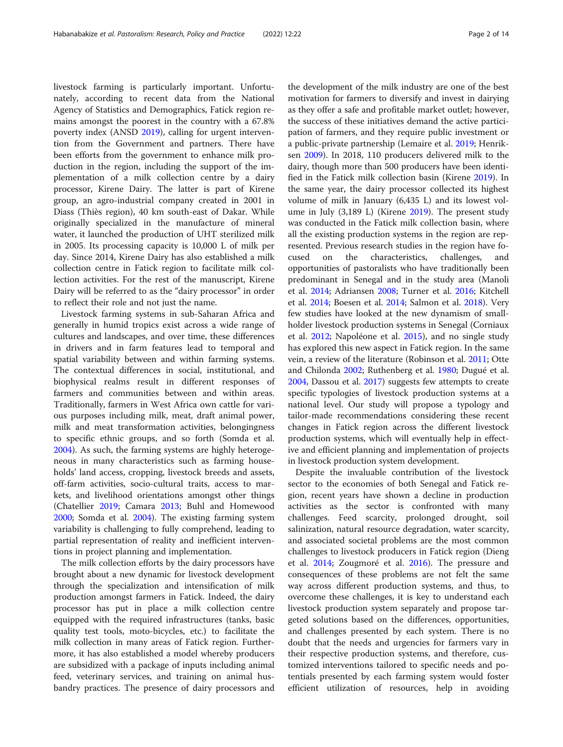livestock farming is particularly important. Unfortunately, according to recent data from the National Agency of Statistics and Demographics, Fatick region remains amongst the poorest in the country with a 67.8% poverty index (ANSD [2019](#page-12-0)), calling for urgent intervention from the Government and partners. There have been efforts from the government to enhance milk production in the region, including the support of the implementation of a milk collection centre by a dairy processor, Kirene Dairy. The latter is part of Kirene group, an agro-industrial company created in 2001 in Diass (Thiès region), 40 km south-east of Dakar. While originally specialized in the manufacture of mineral water, it launched the production of UHT sterilized milk in 2005. Its processing capacity is 10,000 L of milk per day. Since 2014, Kirene Dairy has also established a milk collection centre in Fatick region to facilitate milk collection activities. For the rest of the manuscript, Kirene Dairy will be referred to as the "dairy processor" in order to reflect their role and not just the name.

Livestock farming systems in sub-Saharan Africa and generally in humid tropics exist across a wide range of cultures and landscapes, and over time, these differences in drivers and in farm features lead to temporal and spatial variability between and within farming systems. The contextual differences in social, institutional, and biophysical realms result in different responses of farmers and communities between and within areas. Traditionally, farmers in West Africa own cattle for various purposes including milk, meat, draft animal power, milk and meat transformation activities, belongingness to specific ethnic groups, and so forth (Somda et al. [2004](#page-13-0)). As such, the farming systems are highly heterogeneous in many characteristics such as farming households' land access, cropping, livestock breeds and assets, off-farm activities, socio-cultural traits, access to markets, and livelihood orientations amongst other things (Chatellier [2019;](#page-12-0) Camara [2013;](#page-12-0) Buhl and Homewood [2000](#page-12-0); Somda et al. [2004](#page-13-0)). The existing farming system variability is challenging to fully comprehend, leading to partial representation of reality and inefficient interventions in project planning and implementation.

The milk collection efforts by the dairy processors have brought about a new dynamic for livestock development through the specialization and intensification of milk production amongst farmers in Fatick. Indeed, the dairy processor has put in place a milk collection centre equipped with the required infrastructures (tanks, basic quality test tools, moto-bicycles, etc.) to facilitate the milk collection in many areas of Fatick region. Furthermore, it has also established a model whereby producers are subsidized with a package of inputs including animal feed, veterinary services, and training on animal husbandry practices. The presence of dairy processors and

the development of the milk industry are one of the best motivation for farmers to diversify and invest in dairying as they offer a safe and profitable market outlet; however, the success of these initiatives demand the active participation of farmers, and they require public investment or a public-private partnership (Lemaire et al. [2019;](#page-13-0) Henriksen [2009\)](#page-12-0). In 2018, 110 producers delivered milk to the dairy, though more than 500 producers have been identified in the Fatick milk collection basin (Kirene [2019](#page-13-0)). In the same year, the dairy processor collected its highest volume of milk in January (6,435 L) and its lowest volume in July (3,189 L) (Kirene [2019](#page-13-0)). The present study was conducted in the Fatick milk collection basin, where all the existing production systems in the region are represented. Previous research studies in the region have focused on the characteristics, challenges, and opportunities of pastoralists who have traditionally been predominant in Senegal and in the study area (Manoli et al. [2014](#page-13-0); Adriansen [2008](#page-12-0); Turner et al. [2016](#page-13-0); Kitchell et al. [2014;](#page-13-0) Boesen et al. [2014](#page-12-0); Salmon et al. [2018\)](#page-13-0). Very few studies have looked at the new dynamism of smallholder livestock production systems in Senegal (Corniaux et al. [2012;](#page-12-0) Napoléone et al. [2015\)](#page-13-0), and no single study has explored this new aspect in Fatick region. In the same vein, a review of the literature (Robinson et al. [2011](#page-13-0); Otte and Chilonda [2002](#page-13-0); Ruthenberg et al. [1980;](#page-13-0) Dugué et al. [2004](#page-12-0), Dassou et al. [2017](#page-12-0)) suggests few attempts to create specific typologies of livestock production systems at a national level. Our study will propose a typology and tailor-made recommendations considering these recent changes in Fatick region across the different livestock production systems, which will eventually help in effective and efficient planning and implementation of projects in livestock production system development.

Despite the invaluable contribution of the livestock sector to the economies of both Senegal and Fatick region, recent years have shown a decline in production activities as the sector is confronted with many challenges. Feed scarcity, prolonged drought, soil salinization, natural resource degradation, water scarcity, and associated societal problems are the most common challenges to livestock producers in Fatick region (Dieng et al. [2014](#page-12-0); Zougmoré et al. [2016\)](#page-13-0). The pressure and consequences of these problems are not felt the same way across different production systems, and thus, to overcome these challenges, it is key to understand each livestock production system separately and propose targeted solutions based on the differences, opportunities, and challenges presented by each system. There is no doubt that the needs and urgencies for farmers vary in their respective production systems, and therefore, customized interventions tailored to specific needs and potentials presented by each farming system would foster efficient utilization of resources, help in avoiding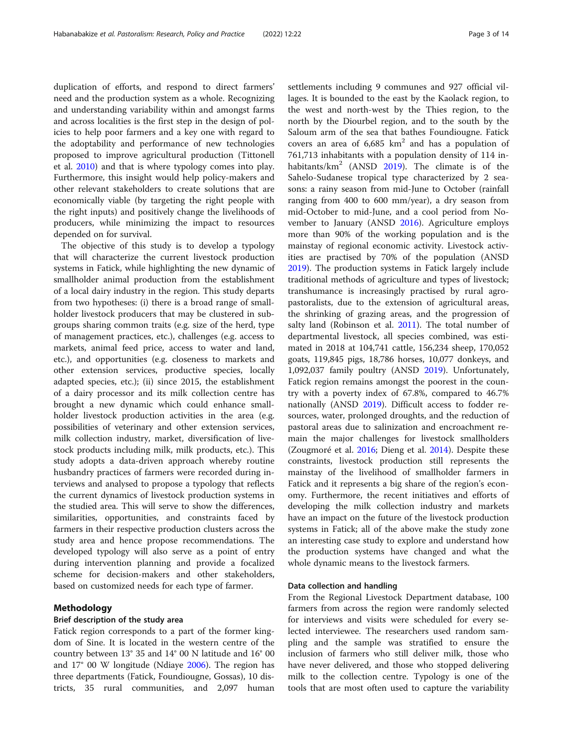duplication of efforts, and respond to direct farmers' need and the production system as a whole. Recognizing and understanding variability within and amongst farms and across localities is the first step in the design of policies to help poor farmers and a key one with regard to the adoptability and performance of new technologies proposed to improve agricultural production (Tittonell et al. [2010](#page-13-0)) and that is where typology comes into play. Furthermore, this insight would help policy-makers and other relevant stakeholders to create solutions that are economically viable (by targeting the right people with the right inputs) and positively change the livelihoods of producers, while minimizing the impact to resources depended on for survival.

The objective of this study is to develop a typology that will characterize the current livestock production systems in Fatick, while highlighting the new dynamic of smallholder animal production from the establishment of a local dairy industry in the region. This study departs from two hypotheses: (i) there is a broad range of smallholder livestock producers that may be clustered in subgroups sharing common traits (e.g. size of the herd, type of management practices, etc.), challenges (e.g. access to markets, animal feed price, access to water and land, etc.), and opportunities (e.g. closeness to markets and other extension services, productive species, locally adapted species, etc.); (ii) since 2015, the establishment of a dairy processor and its milk collection centre has brought a new dynamic which could enhance smallholder livestock production activities in the area (e.g. possibilities of veterinary and other extension services, milk collection industry, market, diversification of livestock products including milk, milk products, etc.). This study adopts a data-driven approach whereby routine husbandry practices of farmers were recorded during interviews and analysed to propose a typology that reflects the current dynamics of livestock production systems in the studied area. This will serve to show the differences, similarities, opportunities, and constraints faced by farmers in their respective production clusters across the study area and hence propose recommendations. The developed typology will also serve as a point of entry during intervention planning and provide a focalized scheme for decision-makers and other stakeholders, based on customized needs for each type of farmer.

#### Methodology

#### Brief description of the study area

Fatick region corresponds to a part of the former kingdom of Sine. It is located in the western centre of the country between 13° 35 and 14° 00 N latitude and 16° 00 and 17° 00 W longitude (Ndiaye [2006\)](#page-13-0). The region has three departments (Fatick, Foundiougne, Gossas), 10 districts, 35 rural communities, and 2,097 human settlements including 9 communes and 927 official villages. It is bounded to the east by the Kaolack region, to the west and north-west by the Thies region, to the north by the Diourbel region, and to the south by the Saloum arm of the sea that bathes Foundiougne. Fatick covers an area of  $6,685 \text{ km}^2$  and has a population of 761,713 inhabitants with a population density of 114 inhabitants/ $km^2$  (ANSD [2019\)](#page-12-0). The climate is of the Sahelo-Sudanese tropical type characterized by 2 seasons: a rainy season from mid-June to October (rainfall ranging from 400 to 600 mm/year), a dry season from mid-October to mid-June, and a cool period from November to January (ANSD [2016](#page-12-0)). Agriculture employs more than 90% of the working population and is the mainstay of regional economic activity. Livestock activities are practised by 70% of the population (ANSD [2019](#page-12-0)). The production systems in Fatick largely include traditional methods of agriculture and types of livestock; transhumance is increasingly practised by rural agropastoralists, due to the extension of agricultural areas, the shrinking of grazing areas, and the progression of salty land (Robinson et al. [2011\)](#page-13-0). The total number of departmental livestock, all species combined, was estimated in 2018 at 104,741 cattle, 156,234 sheep, 170,052 goats, 119,845 pigs, 18,786 horses, 10,077 donkeys, and 1,092,037 family poultry (ANSD [2019\)](#page-12-0). Unfortunately, Fatick region remains amongst the poorest in the country with a poverty index of 67.8%, compared to 46.7% nationally (ANSD [2019\)](#page-12-0). Difficult access to fodder resources, water, prolonged droughts, and the reduction of pastoral areas due to salinization and encroachment remain the major challenges for livestock smallholders (Zougmoré et al. [2016;](#page-13-0) Dieng et al. [2014](#page-12-0)). Despite these constraints, livestock production still represents the mainstay of the livelihood of smallholder farmers in Fatick and it represents a big share of the region's economy. Furthermore, the recent initiatives and efforts of developing the milk collection industry and markets have an impact on the future of the livestock production systems in Fatick; all of the above make the study zone an interesting case study to explore and understand how the production systems have changed and what the whole dynamic means to the livestock farmers.

#### Data collection and handling

From the Regional Livestock Department database, 100 farmers from across the region were randomly selected for interviews and visits were scheduled for every selected interviewee. The researchers used random sampling and the sample was stratified to ensure the inclusion of farmers who still deliver milk, those who have never delivered, and those who stopped delivering milk to the collection centre. Typology is one of the tools that are most often used to capture the variability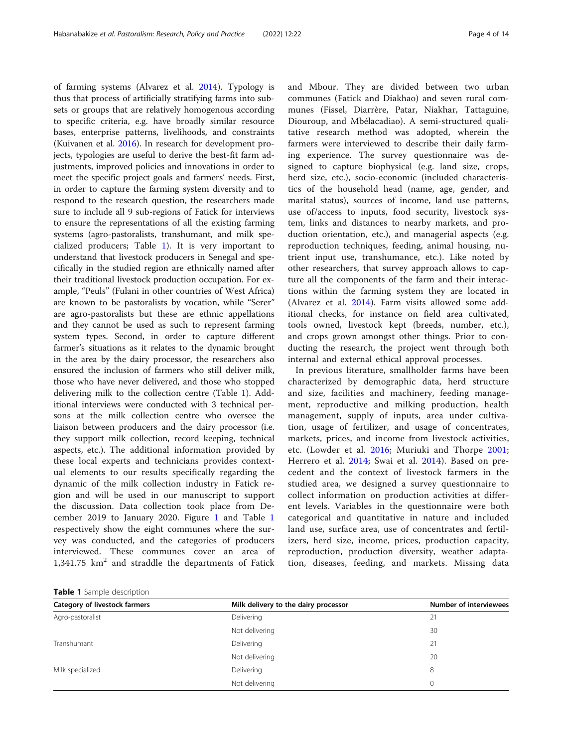of farming systems (Alvarez et al. [2014](#page-12-0)). Typology is thus that process of artificially stratifying farms into subsets or groups that are relatively homogenous according to specific criteria, e.g. have broadly similar resource bases, enterprise patterns, livelihoods, and constraints (Kuivanen et al. [2016](#page-13-0)). In research for development projects, typologies are useful to derive the best-fit farm adjustments, improved policies and innovations in order to meet the specific project goals and farmers' needs. First, in order to capture the farming system diversity and to respond to the research question, the researchers made sure to include all 9 sub-regions of Fatick for interviews to ensure the representations of all the existing farming systems (agro-pastoralists, transhumant, and milk specialized producers; Table 1). It is very important to understand that livestock producers in Senegal and specifically in the studied region are ethnically named after their traditional livestock production occupation. For example, "Peuls" (Fulani in other countries of West Africa) are known to be pastoralists by vocation, while "Serer" are agro-pastoralists but these are ethnic appellations and they cannot be used as such to represent farming system types. Second, in order to capture different farmer's situations as it relates to the dynamic brought in the area by the dairy processor, the researchers also ensured the inclusion of farmers who still deliver milk, those who have never delivered, and those who stopped delivering milk to the collection centre (Table 1). Additional interviews were conducted with 3 technical persons at the milk collection centre who oversee the liaison between producers and the dairy processor (i.e. they support milk collection, record keeping, technical aspects, etc.). The additional information provided by these local experts and technicians provides contextual elements to our results specifically regarding the dynamic of the milk collection industry in Fatick region and will be used in our manuscript to support the discussion. Data collection took place from December 2019 to January 2020. Figure [1](#page-4-0) and Table 1 respectively show the eight communes where the survey was conducted, and the categories of producers interviewed. These communes cover an area of  $1,341.75$  km<sup>2</sup> and straddle the departments of Fatick

communes (Fatick and Diakhao) and seven rural communes (Fissel, Diarrère, Patar, Niakhar, Tattaguine, Diouroup, and Mbélacadiao). A semi-structured qualitative research method was adopted, wherein the farmers were interviewed to describe their daily farming experience. The survey questionnaire was designed to capture biophysical (e.g. land size, crops, herd size, etc.), socio-economic (included characteristics of the household head (name, age, gender, and marital status), sources of income, land use patterns, use of/access to inputs, food security, livestock system, links and distances to nearby markets, and production orientation, etc.), and managerial aspects (e.g. reproduction techniques, feeding, animal housing, nutrient input use, transhumance, etc.). Like noted by other researchers, that survey approach allows to capture all the components of the farm and their interactions within the farming system they are located in (Alvarez et al. [2014](#page-12-0)). Farm visits allowed some additional checks, for instance on field area cultivated, tools owned, livestock kept (breeds, number, etc.), and crops grown amongst other things. Prior to conducting the research, the project went through both internal and external ethical approval processes.

and Mbour. They are divided between two urban

In previous literature, smallholder farms have been characterized by demographic data, herd structure and size, facilities and machinery, feeding management, reproductive and milking production, health management, supply of inputs, area under cultivation, usage of fertilizer, and usage of concentrates, markets, prices, and income from livestock activities, etc. (Lowder et al. [2016](#page-13-0); Muriuki and Thorpe [2001](#page-13-0); Herrero et al. [2014;](#page-12-0) Swai et al. [2014\)](#page-13-0). Based on precedent and the context of livestock farmers in the studied area, we designed a survey questionnaire to collect information on production activities at different levels. Variables in the questionnaire were both categorical and quantitative in nature and included land use, surface area, use of concentrates and fertilizers, herd size, income, prices, production capacity, reproduction, production diversity, weather adaptation, diseases, feeding, and markets. Missing data

Table 1 Sample description

| <b>Category of livestock farmers</b> | Milk delivery to the dairy processor | <b>Number of interviewees</b> |
|--------------------------------------|--------------------------------------|-------------------------------|
| Agro-pastoralist                     | Delivering                           | 21                            |
|                                      | Not delivering                       | 30                            |
| Transhumant                          | Delivering                           | 21                            |
|                                      | Not delivering                       | 20                            |
| Milk specialized                     | Delivering                           | 8                             |
|                                      | Not delivering                       |                               |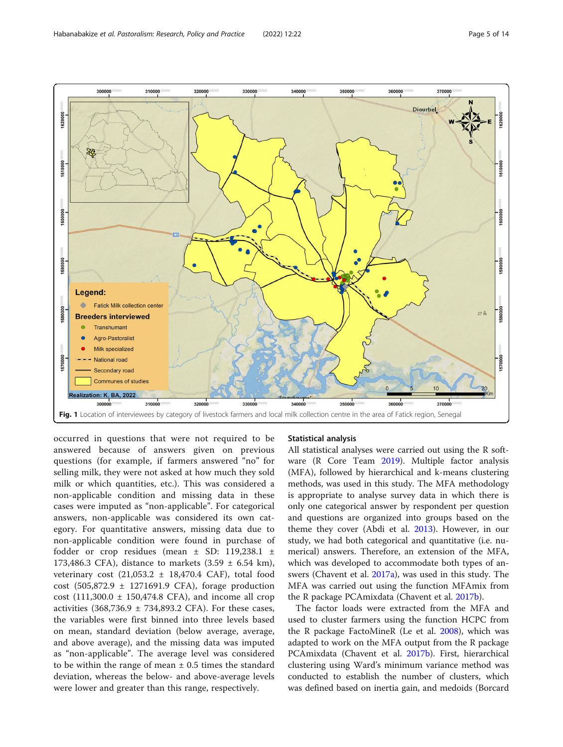<span id="page-4-0"></span>

occurred in questions that were not required to be answered because of answers given on previous questions (for example, if farmers answered "no" for selling milk, they were not asked at how much they sold milk or which quantities, etc.). This was considered a non-applicable condition and missing data in these cases were imputed as "non-applicable". For categorical answers, non-applicable was considered its own category. For quantitative answers, missing data due to non-applicable condition were found in purchase of fodder or crop residues (mean ± SD: 119,238.1 ± 173,486.3 CFA), distance to markets  $(3.59 \pm 6.54 \text{ km})$ , veterinary cost  $(21,053.2 \pm 18,470.4 \text{ } CAF)$ , total food cost (505,872.9 ± 1271691.9 CFA), forage production cost  $(111,300.0 \pm 150,474.8 \text{ CFA})$ , and income all crop activities  $(368,736.9 \pm 734,893.2 \text{ CFA})$ . For these cases, the variables were first binned into three levels based on mean, standard deviation (below average, average, and above average), and the missing data was imputed as "non-applicable". The average level was considered to be within the range of mean  $\pm$  0.5 times the standard deviation, whereas the below- and above-average levels were lower and greater than this range, respectively.

#### Statistical analysis

All statistical analyses were carried out using the R software (R Core Team [2019](#page-13-0)). Multiple factor analysis (MFA), followed by hierarchical and k-means clustering methods, was used in this study. The MFA methodology is appropriate to analyse survey data in which there is only one categorical answer by respondent per question and questions are organized into groups based on the theme they cover (Abdi et al. [2013\)](#page-12-0). However, in our study, we had both categorical and quantitative (i.e. numerical) answers. Therefore, an extension of the MFA, which was developed to accommodate both types of answers (Chavent et al. [2017a\)](#page-12-0), was used in this study. The MFA was carried out using the function MFAmix from the R package PCAmixdata (Chavent et al. [2017b\)](#page-12-0).

The factor loads were extracted from the MFA and used to cluster farmers using the function HCPC from the R package FactoMineR (Le et al. [2008](#page-13-0)), which was adapted to work on the MFA output from the R package PCAmixdata (Chavent et al. [2017b](#page-12-0)). First, hierarchical clustering using Ward's minimum variance method was conducted to establish the number of clusters, which was defined based on inertia gain, and medoids (Borcard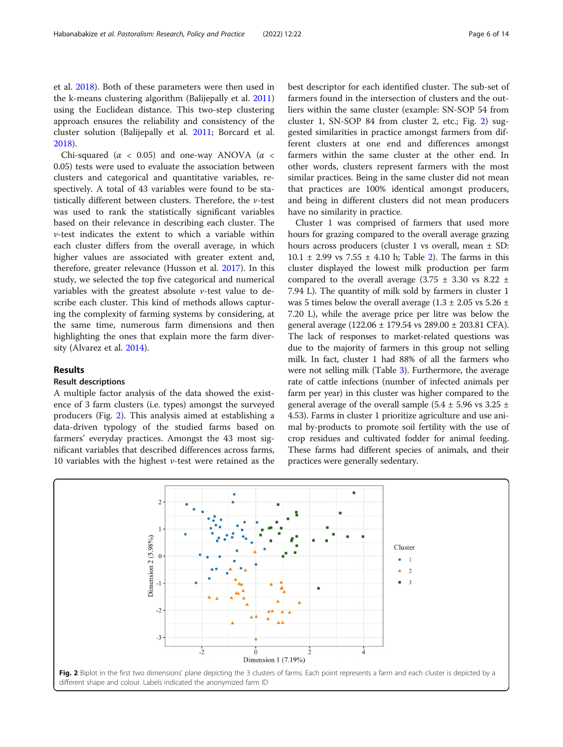et al. [2018\)](#page-12-0). Both of these parameters were then used in the k-means clustering algorithm (Balijepally et al. [2011](#page-12-0)) using the Euclidean distance. This two-step clustering approach ensures the reliability and consistency of the cluster solution (Balijepally et al. [2011;](#page-12-0) Borcard et al. [2018](#page-12-0)).

Chi-squared ( $\alpha$  < 0.05) and one-way ANOVA ( $\alpha$  < 0.05) tests were used to evaluate the association between clusters and categorical and quantitative variables, respectively. A total of 43 variables were found to be statistically different between clusters. Therefore, the  $\nu$ -test was used to rank the statistically significant variables based on their relevance in describing each cluster. The v-test indicates the extent to which a variable within each cluster differs from the overall average, in which higher values are associated with greater extent and, therefore, greater relevance (Husson et al. [2017](#page-13-0)). In this study, we selected the top five categorical and numerical variables with the greatest absolute  $\nu$ -test value to describe each cluster. This kind of methods allows capturing the complexity of farming systems by considering, at the same time, numerous farm dimensions and then highlighting the ones that explain more the farm diversity (Alvarez et al. [2014\)](#page-12-0).

#### Results

## Result descriptions

A multiple factor analysis of the data showed the existence of 3 farm clusters (i.e. types) amongst the surveyed producers (Fig. 2). This analysis aimed at establishing a data-driven typology of the studied farms based on farmers' everyday practices. Amongst the 43 most significant variables that described differences across farms, 10 variables with the highest  $\nu$ -test were retained as the

best descriptor for each identified cluster. The sub-set of farmers found in the intersection of clusters and the outliers within the same cluster (example: SN-SOP 54 from cluster 1, SN-SOP 84 from cluster 2, etc.; Fig. 2) suggested similarities in practice amongst farmers from different clusters at one end and differences amongst farmers within the same cluster at the other end. In other words, clusters represent farmers with the most similar practices. Being in the same cluster did not mean that practices are 100% identical amongst producers, and being in different clusters did not mean producers have no similarity in practice.

Cluster 1 was comprised of farmers that used more hours for grazing compared to the overall average grazing hours across producers (cluster 1 vs overall, mean  $\pm$  SD:  $10.1 \pm 2.99$  vs  $7.55 \pm 4.10$  h; Table [2\)](#page-6-0). The farms in this cluster displayed the lowest milk production per farm compared to the overall average  $(3.75 \pm 3.30 \text{ vs } 8.22 \pm 1)$ 7.94 L). The quantity of milk sold by farmers in cluster 1 was 5 times below the overall average ( $1.3 \pm 2.05$  vs  $5.26 \pm 1.05$ 7.20 L), while the average price per litre was below the general average (122.06 ± 179.54 vs 289.00 ± 203.81 CFA). The lack of responses to market-related questions was due to the majority of farmers in this group not selling milk. In fact, cluster 1 had 88% of all the farmers who were not selling milk (Table [3\)](#page-6-0). Furthermore, the average rate of cattle infections (number of infected animals per farm per year) in this cluster was higher compared to the general average of the overall sample (5.4  $\pm$  5.96 vs 3.25  $\pm$ 4.53). Farms in cluster 1 prioritize agriculture and use animal by-products to promote soil fertility with the use of crop residues and cultivated fodder for animal feeding. These farms had different species of animals, and their practices were generally sedentary.

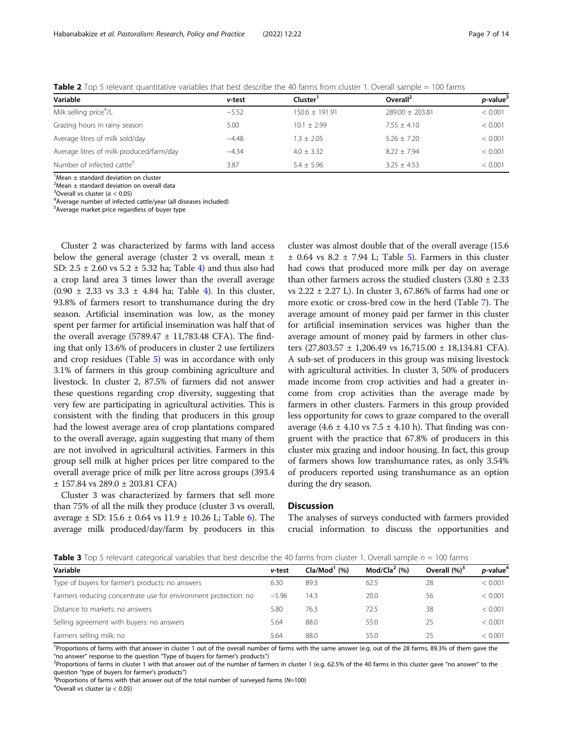| Variable                                 | v-test  | Cluster <sup>1</sup> | Overall <sup>2</sup> | <i>p</i> -value <sup>3</sup> |
|------------------------------------------|---------|----------------------|----------------------|------------------------------|
| Milk selling price <sup>4</sup> /L       | $-5.52$ | $150.6 \pm 191.91$   | $789.00 + 703.81$    | < 0.001                      |
| Grazing hours in rainy season            | 5.00    | $10.1 + 2.99$        | $7.55 + 4.10$        | < 0.001                      |
| Average litres of milk sold/day          | $-4.48$ | $1.3 + 2.05$         | $5.26 + 7.20$        | < 0.001                      |
| Average litres of milk produced/farm/day | $-4.34$ | $4.0 \pm 3.32$       | $8.22 + 7.94$        | < 0.001                      |
| Number of infected cattle <sup>5</sup>   | 3.87    | $5.4 + 5.96$         | $3.25 + 4.53$        | < 0.001                      |

<span id="page-6-0"></span>Table 2 Top 5 relevant quantitative variables that best describe the 40 farms from cluster 1. Overall sample = 100 farms

 $1$ Mean  $\pm$  standard deviation on cluster

 $2$ Mean  $\pm$  standard deviation on overall data

<sup>3</sup> Overall vs cluster ( $\alpha$  < 0.05)<sup>4</sup> Average number of infecter

Average number of infected cattle/year (all diseases included)

5 Average market price regardless of buyer type

Cluster 2 was characterized by farms with land access below the general average (cluster 2 vs overall, mean ± SD:  $2.5 \pm 2.60$  vs  $5.2 \pm 5.32$  ha; Table [4\)](#page-7-0) and thus also had a crop land area 3 times lower than the overall average  $(0.90 \pm 2.33 \text{ vs } 3.3 \pm 4.84 \text{ ha}; \text{Table 4}).$  $(0.90 \pm 2.33 \text{ vs } 3.3 \pm 4.84 \text{ ha}; \text{Table 4}).$  $(0.90 \pm 2.33 \text{ vs } 3.3 \pm 4.84 \text{ ha}; \text{Table 4}).$  In this cluster, 93.8% of farmers resort to transhumance during the dry season. Artificial insemination was low, as the money spent per farmer for artificial insemination was half that of the overall average  $(5789.47 \pm 11,783.48 \text{ CFA})$ . The finding that only 13.6% of producers in cluster 2 use fertilizers and crop residues (Table [5\)](#page-7-0) was in accordance with only 3.1% of farmers in this group combining agriculture and livestock. In cluster 2, 87.5% of farmers did not answer these questions regarding crop diversity, suggesting that very few are participating in agricultural activities. This is consistent with the finding that producers in this group had the lowest average area of crop plantations compared to the overall average, again suggesting that many of them are not involved in agricultural activities. Farmers in this group sell milk at higher prices per litre compared to the overall average price of milk per litre across groups (393.4 ± 157.84 vs 289.0 ± 203.81 CFA)

Cluster 3 was characterized by farmers that sell more than 75% of all the milk they produce (cluster 3 vs overall, average  $\pm$  SD: 15.[6](#page-8-0)  $\pm$  0.64 vs 11.9  $\pm$  10.26 L; Table 6). The average milk produced/day/farm by producers in this

cluster was almost double that of the overall average (15.6  $\pm$  0.64 vs 8.2  $\pm$  7.94 L; Table [5\)](#page-7-0). Farmers in this cluster had cows that produced more milk per day on average than other farmers across the studied clusters  $(3.80 \pm 2.33)$ vs 2.22 ± 2.27 L). In cluster 3, 67.86% of farms had one or more exotic or cross-bred cow in the herd (Table [7](#page-8-0)). The average amount of money paid per farmer in this cluster for artificial insemination services was higher than the average amount of money paid by farmers in other clusters (27,803.57 ± 1,206.49 vs 16,715.00 ± 18,134.81 CFA). A sub-set of producers in this group was mixing livestock with agricultural activities. In cluster 3, 50% of producers made income from crop activities and had a greater income from crop activities than the average made by farmers in other clusters. Farmers in this group provided less opportunity for cows to graze compared to the overall average  $(4.6 \pm 4.10 \text{ vs } 7.5 \pm 4.10 \text{ h})$ . That finding was congruent with the practice that 67.8% of producers in this cluster mix grazing and indoor housing. In fact, this group of farmers shows low transhumance rates, as only 3.54% of producers reported using transhumance as an option during the dry season.

### **Discussion**

The analyses of surveys conducted with farmers provided crucial information to discuss the opportunities and

**Table 3** Top 5 relevant categorical variables that best describe the 40 farms from cluster 1. Overall sample  $n = 100$  farms

| Variable                                                        | v-test  | $Cla/Mod1$ (%) | Mod/Cla $2$ (%) | Overall (%) <sup>3</sup> | <i>p</i> -value <sup>4</sup> |
|-----------------------------------------------------------------|---------|----------------|-----------------|--------------------------|------------------------------|
| Type of buyers for farmer's products: no answers                | 6.30    | 89.3           | 62.5            | 28                       | < 0.001                      |
| Farmers reducing concentrate use for environment protection: no | $-5.96$ | 14.3           | 20.0            | 56                       | < 0.001                      |
| Distance to markets: no answers                                 | 5.80    | 76.3           | 72.5            | 38                       | < 0.001                      |
| Selling agreement with buyers: no answers                       | 5.64    | 88.0           | 55.0            | 25                       | < 0.001                      |
| Farmers selling milk: no                                        | 5.64    | 88.0           | 55.0            | 25                       | < 0.001                      |

<sup>1</sup>Proportions of farms with that answer in cluster 1 out of the overall number of farms with the same answer (e.g. out of the 28 farms, 89.3% of them gave the "no answer" response to the question "Type of buyers for farmer's products") <sup>2</sup>

<sup>2</sup>Proportions of farms in cluster 1 with that answer out of the number of farmers in cluster 1 (e.g. 62.5% of the 40 farms in this cluster gave "no answer" to the question "type of buyers for farmer's products")

 $3$ Proportions of farms with that answer out of the total number of surveyed farms (N=100)

<sup>4</sup>Overall vs cluster ( $\alpha$  < 0.05)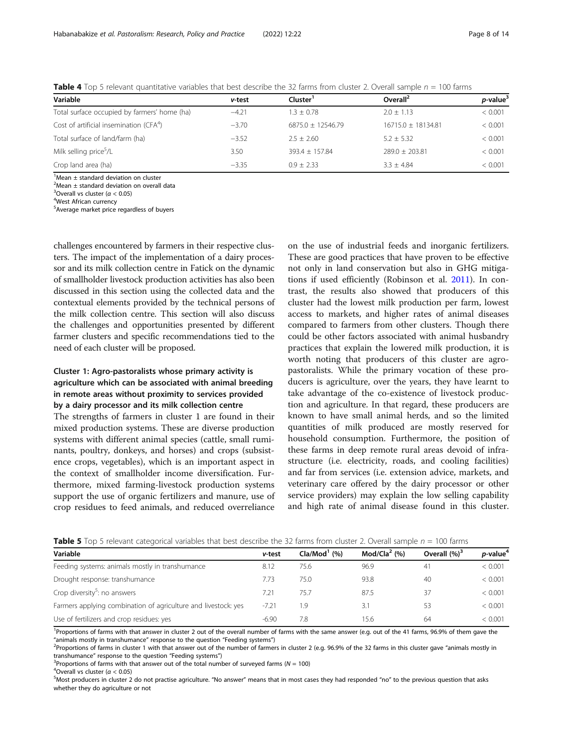| Variable                                            | v-test  | Cluster'            | Overall <sup>2</sup> | <i>p</i> -value <sup>3</sup> |
|-----------------------------------------------------|---------|---------------------|----------------------|------------------------------|
| Total surface occupied by farmers' home (ha)        | $-4.21$ | $1.3 + 0.78$        | $2.0 + 1.13$         | < 0.001                      |
| Cost of artificial insemination (CFA <sup>4</sup> ) | $-3.70$ | $6875.0 + 12546.79$ | $16715.0 + 18134.81$ | < 0.001                      |
| Total surface of land/farm (ha)                     | $-3.52$ | $2.5 + 2.60$        | $5.2 \pm 5.32$       | < 0.001                      |
| Milk selling price <sup>5</sup> /L                  | 3.50    | $393.4 + 157.84$    | $789.0 + 703.81$     | < 0.001                      |
| Crop land area (ha)                                 | $-3.35$ | $0.9 + 2.33$        | $3.3 + 4.84$         | < 0.001                      |

<span id="page-7-0"></span>Table 4 Top 5 relevant quantitative variables that best describe the 32 farms from cluster 2. Overall sample  $n = 100$  farms

 $1$ Mean  $\pm$  standard deviation on cluster

 $2$ Mean  $\pm$  standard deviation on overall data

<sup>3</sup> Overall vs cluster ( $\alpha$  < 0.05)<sup>4</sup> West African currency

West African currency

<sup>5</sup> Average market price regardless of buyers

challenges encountered by farmers in their respective clusters. The impact of the implementation of a dairy processor and its milk collection centre in Fatick on the dynamic of smallholder livestock production activities has also been discussed in this section using the collected data and the contextual elements provided by the technical persons of the milk collection centre. This section will also discuss the challenges and opportunities presented by different farmer clusters and specific recommendations tied to the need of each cluster will be proposed.

## Cluster 1: Agro-pastoralists whose primary activity is agriculture which can be associated with animal breeding in remote areas without proximity to services provided by a dairy processor and its milk collection centre

The strengths of farmers in cluster 1 are found in their mixed production systems. These are diverse production systems with different animal species (cattle, small ruminants, poultry, donkeys, and horses) and crops (subsistence crops, vegetables), which is an important aspect in the context of smallholder income diversification. Furthermore, mixed farming-livestock production systems support the use of organic fertilizers and manure, use of crop residues to feed animals, and reduced overreliance

on the use of industrial feeds and inorganic fertilizers. These are good practices that have proven to be effective not only in land conservation but also in GHG mitigations if used efficiently (Robinson et al. [2011](#page-13-0)). In contrast, the results also showed that producers of this cluster had the lowest milk production per farm, lowest access to markets, and higher rates of animal diseases compared to farmers from other clusters. Though there could be other factors associated with animal husbandry practices that explain the lowered milk production, it is worth noting that producers of this cluster are agropastoralists. While the primary vocation of these producers is agriculture, over the years, they have learnt to take advantage of the co-existence of livestock production and agriculture. In that regard, these producers are known to have small animal herds, and so the limited quantities of milk produced are mostly reserved for household consumption. Furthermore, the position of these farms in deep remote rural areas devoid of infrastructure (i.e. electricity, roads, and cooling facilities) and far from services (i.e. extension advice, markets, and veterinary care offered by the dairy processor or other service providers) may explain the low selling capability and high rate of animal disease found in this cluster.

| Variable                                                       | v-test  | $Cla/Mod1$ (%) | Mod/Cla $2$ (%) | Overall $(%)^3$ | <i>p</i> -value <sup>4</sup> |
|----------------------------------------------------------------|---------|----------------|-----------------|-----------------|------------------------------|
| Feeding systems: animals mostly in transhumance                | 8.12    | 75.6           | 96.9            | 41              | < 0.001                      |
| Drought response: transhumance                                 | 7.73    | 75.0           | 93.8            | 40              | < 0.001                      |
| Crop diversity <sup>5</sup> : no answers                       | 7.21    | 75.7           | 87.5            | 37              | < 0.001                      |
| Farmers applying combination of agriculture and livestock: yes | $-7.21$ | 1.9            | 3.1             | 53              | < 0.001                      |
| Use of fertilizers and crop residues: yes                      | $-6.90$ | 7.8            | 15.6            | 64              | < 0.001                      |

**Table 5** Top 5 relevant categorical variables that best describe the 32 farms from cluster 2. Overall sample  $n = 100$  farms

<sup>1</sup>Proportions of farms with that answer in cluster 2 out of the overall number of farms with the same answer (e.g. out of the 41 farms, 96.9% of them gave the "animals mostly in transhumance" response to the question "Feeding systems") <sup>2</sup>

<sup>2</sup>Proportions of farms in cluster 1 with that answer out of the number of farmers in cluster 2 (e.g. 96.9% of the 32 farms in this cluster gave "animals mostly in transhumance" response to the question "Feeding systems") <sup>3</sup>

<sup>3</sup>Proportions of farms with that answer out of the total number of surveyed farms ( $N = 100$ )

 $^4$ Overall vs cluster ( $\alpha$  < 0.05)

<sup>&</sup>lt;sup>5</sup>Most producers in cluster 2 do not practise agriculture. "No answer" means that in most cases they had responded "no" to the previous question that asks whether they do agriculture or not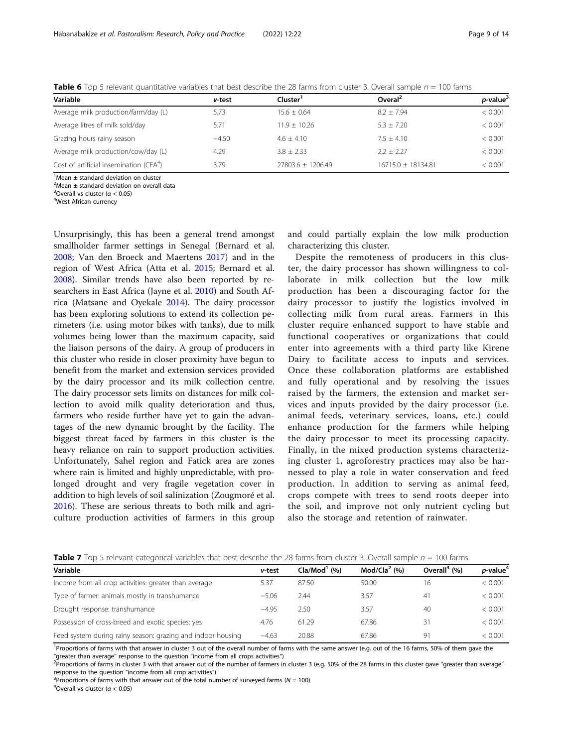| Variable                                            | v-test  | Cluster           | Overal <sup>2</sup>  | <i>p</i> -value <sup>3</sup> |
|-----------------------------------------------------|---------|-------------------|----------------------|------------------------------|
| Average milk production/farm/day (L)                | 5.73    | $15.6 + 0.64$     | $8.2 + 7.94$         | < 0.001                      |
| Average litres of milk sold/day                     | 5.71    | $11.9 + 10.26$    | $5.3 + 7.20$         | < 0.001                      |
| Grazing hours rainy season                          | $-4.50$ | $4.6 + 4.10$      | $7.5 + 4.10$         | < 0.001                      |
| Average milk production/cow/day (L)                 | 4.29    | $3.8 + 2.33$      | $2.2 + 2.27$         | < 0.001                      |
| Cost of artificial insemination (CFA <sup>4</sup> ) | 3.79    | 27803.6 ± 1206.49 | $16715.0 + 18134.81$ | < 0.001                      |

<span id="page-8-0"></span>**Table 6** Top 5 relevant quantitative variables that best describe the 28 farms from cluster 3. Overall sample  $n = 100$  farms

 $1$ Mean  $\pm$  standard deviation on cluster

 $2$ Mean  $\pm$  standard deviation on overall data

<sup>3</sup> Overall vs cluster ( $\alpha$  < 0.05)<sup>4</sup> West African currency

West African currency

Unsurprisingly, this has been a general trend amongst smallholder farmer settings in Senegal (Bernard et al. [2008](#page-12-0); Van den Broeck and Maertens [2017](#page-13-0)) and in the region of West Africa (Atta et al. [2015;](#page-12-0) Bernard et al. [2008](#page-12-0)). Similar trends have also been reported by researchers in East Africa (Jayne et al. [2010](#page-13-0)) and South Africa (Matsane and Oyekale [2014\)](#page-13-0). The dairy processor has been exploring solutions to extend its collection perimeters (i.e. using motor bikes with tanks), due to milk volumes being lower than the maximum capacity, said the liaison persons of the dairy. A group of producers in this cluster who reside in closer proximity have begun to benefit from the market and extension services provided by the dairy processor and its milk collection centre. The dairy processor sets limits on distances for milk collection to avoid milk quality deterioration and thus, farmers who reside further have yet to gain the advantages of the new dynamic brought by the facility. The biggest threat faced by farmers in this cluster is the heavy reliance on rain to support production activities. Unfortunately, Sahel region and Fatick area are zones where rain is limited and highly unpredictable, with prolonged drought and very fragile vegetation cover in addition to high levels of soil salinization (Zougmoré et al. [2016](#page-13-0)). These are serious threats to both milk and agriculture production activities of farmers in this group

and could partially explain the low milk production characterizing this cluster.

Despite the remoteness of producers in this cluster, the dairy processor has shown willingness to collaborate in milk collection but the low milk production has been a discouraging factor for the dairy processor to justify the logistics involved in collecting milk from rural areas. Farmers in this cluster require enhanced support to have stable and functional cooperatives or organizations that could enter into agreements with a third party like Kirene Dairy to facilitate access to inputs and services. Once these collaboration platforms are established and fully operational and by resolving the issues raised by the farmers, the extension and market services and inputs provided by the dairy processor (i.e. animal feeds, veterinary services, loans, etc.) could enhance production for the farmers while helping the dairy processor to meet its processing capacity. Finally, in the mixed production systems characterizing cluster 1, agroforestry practices may also be harnessed to play a role in water conservation and feed production. In addition to serving as animal feed, crops compete with trees to send roots deeper into the soil, and improve not only nutrient cycling but also the storage and retention of rainwater.

| <b>There</b> I also construct categories the most acceptance the Equation conster of our particle in the family |         |                |                 |                          |                               |  |
|-----------------------------------------------------------------------------------------------------------------|---------|----------------|-----------------|--------------------------|-------------------------------|--|
| Variable                                                                                                        | v-test  | $Cla/Mod1$ (%) | Mod/Cla $2$ (%) | Overall <sup>3</sup> (%) | <i>p</i> -value <sup>4</sup>  |  |
| Income from all crop activities: greater than average                                                           |         | 87.50          | 50.00           |                          | : 0.001                       |  |
| Type of farmer: animals mostly in transhumance                                                                  | $-5.06$ | 2.44           | 35,             | 41                       | $\stackrel{<}{_{\sim}} 0.001$ |  |

Drought response: transhumance −4.95 2.50 3.57 40 < 0.001 Possession of cross-breed and exotic species: yes 4.76 61.29 67.86 31 67.86 31 67.86 61.29 67.86 61.29 67.86 61.29 67.86 61.29 67.86 61.29 67.86 61.29 67.86 61.29 67.86 61.29 67.86 61.29 67.86 61.29 67.86 61.29 67.86 61.29 Feed system during rainy season: grazing and indoor housing −4.63 20.88 67.86 91 < 0.001

**Table 7** Top 5 relevant categorical variables that best describe the 28 farms from cluster 3. Overall sample  $n = 100$  farms

<sup>1</sup>Proportions of farms with that answer in cluster 3 out of the overall number of farms with the same answer (e.g. out of the 16 farms, 50% of them gave the "greater than average" response to the question "income from all crops activities") <sup>2</sup>

 $P$ Proportions of farms in cluster 3 with that answer out of the number of farmers in cluster 3 (e.g. 50% of the 28 farms in this cluster gave "greater than average" response to the question "income from all crop activities")

<sup>4</sup>Overall vs cluster ( $\alpha$  < 0.05)

<sup>&</sup>lt;sup>3</sup> Proportions of farms with that answer out of the total number of surveyed farms ( $N = 100$ )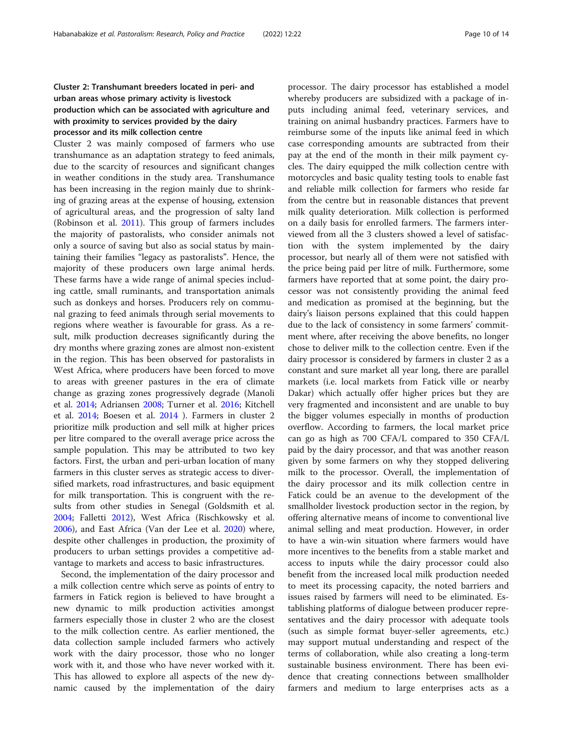## Cluster 2: Transhumant breeders located in peri- and urban areas whose primary activity is livestock production which can be associated with agriculture and with proximity to services provided by the dairy processor and its milk collection centre

Cluster 2 was mainly composed of farmers who use transhumance as an adaptation strategy to feed animals, due to the scarcity of resources and significant changes in weather conditions in the study area. Transhumance has been increasing in the region mainly due to shrinking of grazing areas at the expense of housing, extension of agricultural areas, and the progression of salty land (Robinson et al. [2011](#page-13-0)). This group of farmers includes the majority of pastoralists, who consider animals not only a source of saving but also as social status by maintaining their families "legacy as pastoralists". Hence, the majority of these producers own large animal herds. These farms have a wide range of animal species including cattle, small ruminants, and transportation animals such as donkeys and horses. Producers rely on communal grazing to feed animals through serial movements to regions where weather is favourable for grass. As a result, milk production decreases significantly during the dry months where grazing zones are almost non-existent in the region. This has been observed for pastoralists in West Africa, where producers have been forced to move to areas with greener pastures in the era of climate change as grazing zones progressively degrade (Manoli et al. [2014](#page-13-0); Adriansen [2008](#page-12-0); Turner et al. [2016](#page-13-0); Kitchell et al. [2014](#page-13-0); Boesen et al. [2014](#page-12-0) ). Farmers in cluster 2 prioritize milk production and sell milk at higher prices per litre compared to the overall average price across the sample population. This may be attributed to two key factors. First, the urban and peri-urban location of many farmers in this cluster serves as strategic access to diversified markets, road infrastructures, and basic equipment for milk transportation. This is congruent with the results from other studies in Senegal (Goldsmith et al. [2004](#page-12-0); Falletti [2012\)](#page-12-0), West Africa (Rischkowsky et al. [2006](#page-13-0)), and East Africa (Van der Lee et al. [2020\)](#page-13-0) where, despite other challenges in production, the proximity of producers to urban settings provides a competitive advantage to markets and access to basic infrastructures.

Second, the implementation of the dairy processor and a milk collection centre which serve as points of entry to farmers in Fatick region is believed to have brought a new dynamic to milk production activities amongst farmers especially those in cluster 2 who are the closest to the milk collection centre. As earlier mentioned, the data collection sample included farmers who actively work with the dairy processor, those who no longer work with it, and those who have never worked with it. This has allowed to explore all aspects of the new dynamic caused by the implementation of the dairy processor. The dairy processor has established a model whereby producers are subsidized with a package of inputs including animal feed, veterinary services, and training on animal husbandry practices. Farmers have to reimburse some of the inputs like animal feed in which case corresponding amounts are subtracted from their pay at the end of the month in their milk payment cycles. The dairy equipped the milk collection centre with motorcycles and basic quality testing tools to enable fast and reliable milk collection for farmers who reside far from the centre but in reasonable distances that prevent milk quality deterioration. Milk collection is performed on a daily basis for enrolled farmers. The farmers interviewed from all the 3 clusters showed a level of satisfaction with the system implemented by the dairy processor, but nearly all of them were not satisfied with the price being paid per litre of milk. Furthermore, some farmers have reported that at some point, the dairy processor was not consistently providing the animal feed and medication as promised at the beginning, but the dairy's liaison persons explained that this could happen due to the lack of consistency in some farmers' commitment where, after receiving the above benefits, no longer chose to deliver milk to the collection centre. Even if the dairy processor is considered by farmers in cluster 2 as a constant and sure market all year long, there are parallel markets (i.e. local markets from Fatick ville or nearby Dakar) which actually offer higher prices but they are very fragmented and inconsistent and are unable to buy the bigger volumes especially in months of production overflow. According to farmers, the local market price can go as high as 700 CFA/L compared to 350 CFA/L paid by the dairy processor, and that was another reason given by some farmers on why they stopped delivering milk to the processor. Overall, the implementation of the dairy processor and its milk collection centre in Fatick could be an avenue to the development of the smallholder livestock production sector in the region, by offering alternative means of income to conventional live animal selling and meat production. However, in order to have a win-win situation where farmers would have more incentives to the benefits from a stable market and access to inputs while the dairy processor could also benefit from the increased local milk production needed to meet its processing capacity, the noted barriers and issues raised by farmers will need to be eliminated. Establishing platforms of dialogue between producer representatives and the dairy processor with adequate tools (such as simple format buyer-seller agreements, etc.) may support mutual understanding and respect of the terms of collaboration, while also creating a long-term sustainable business environment. There has been evidence that creating connections between smallholder farmers and medium to large enterprises acts as a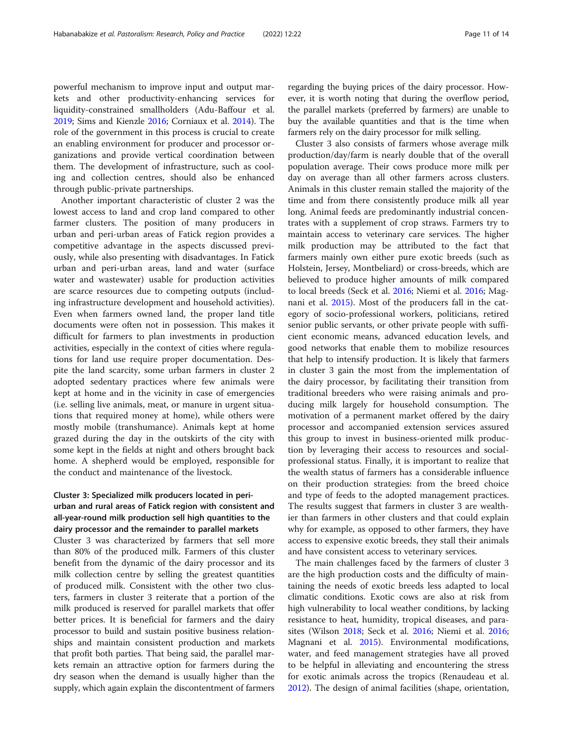powerful mechanism to improve input and output markets and other productivity-enhancing services for liquidity-constrained smallholders (Adu-Baffour et al. [2019](#page-12-0); Sims and Kienzle [2016](#page-13-0); Corniaux et al. [2014\)](#page-12-0). The role of the government in this process is crucial to create an enabling environment for producer and processor organizations and provide vertical coordination between them. The development of infrastructure, such as cooling and collection centres, should also be enhanced through public-private partnerships.

Another important characteristic of cluster 2 was the lowest access to land and crop land compared to other farmer clusters. The position of many producers in urban and peri-urban areas of Fatick region provides a competitive advantage in the aspects discussed previously, while also presenting with disadvantages. In Fatick urban and peri-urban areas, land and water (surface water and wastewater) usable for production activities are scarce resources due to competing outputs (including infrastructure development and household activities). Even when farmers owned land, the proper land title documents were often not in possession. This makes it difficult for farmers to plan investments in production activities, especially in the context of cities where regulations for land use require proper documentation. Despite the land scarcity, some urban farmers in cluster 2 adopted sedentary practices where few animals were kept at home and in the vicinity in case of emergencies (i.e. selling live animals, meat, or manure in urgent situations that required money at home), while others were mostly mobile (transhumance). Animals kept at home grazed during the day in the outskirts of the city with some kept in the fields at night and others brought back home. A shepherd would be employed, responsible for the conduct and maintenance of the livestock.

## Cluster 3: Specialized milk producers located in periurban and rural areas of Fatick region with consistent and all-year-round milk production sell high quantities to the dairy processor and the remainder to parallel markets

Cluster 3 was characterized by farmers that sell more than 80% of the produced milk. Farmers of this cluster benefit from the dynamic of the dairy processor and its milk collection centre by selling the greatest quantities of produced milk. Consistent with the other two clusters, farmers in cluster 3 reiterate that a portion of the milk produced is reserved for parallel markets that offer better prices. It is beneficial for farmers and the dairy processor to build and sustain positive business relationships and maintain consistent production and markets that profit both parties. That being said, the parallel markets remain an attractive option for farmers during the dry season when the demand is usually higher than the supply, which again explain the discontentment of farmers regarding the buying prices of the dairy processor. However, it is worth noting that during the overflow period, the parallel markets (preferred by farmers) are unable to buy the available quantities and that is the time when farmers rely on the dairy processor for milk selling.

Cluster 3 also consists of farmers whose average milk production/day/farm is nearly double that of the overall population average. Their cows produce more milk per day on average than all other farmers across clusters. Animals in this cluster remain stalled the majority of the time and from there consistently produce milk all year long. Animal feeds are predominantly industrial concentrates with a supplement of crop straws. Farmers try to maintain access to veterinary care services. The higher milk production may be attributed to the fact that farmers mainly own either pure exotic breeds (such as Holstein, Jersey, Montbeliard) or cross-breeds, which are believed to produce higher amounts of milk compared to local breeds (Seck et al. [2016](#page-13-0); Niemi et al. [2016;](#page-13-0) Magnani et al. [2015](#page-13-0)). Most of the producers fall in the category of socio-professional workers, politicians, retired senior public servants, or other private people with sufficient economic means, advanced education levels, and good networks that enable them to mobilize resources that help to intensify production. It is likely that farmers in cluster 3 gain the most from the implementation of the dairy processor, by facilitating their transition from traditional breeders who were raising animals and producing milk largely for household consumption. The motivation of a permanent market offered by the dairy processor and accompanied extension services assured this group to invest in business-oriented milk production by leveraging their access to resources and socialprofessional status. Finally, it is important to realize that the wealth status of farmers has a considerable influence on their production strategies: from the breed choice and type of feeds to the adopted management practices. The results suggest that farmers in cluster 3 are wealthier than farmers in other clusters and that could explain why for example, as opposed to other farmers, they have access to expensive exotic breeds, they stall their animals and have consistent access to veterinary services.

The main challenges faced by the farmers of cluster 3 are the high production costs and the difficulty of maintaining the needs of exotic breeds less adapted to local climatic conditions. Exotic cows are also at risk from high vulnerability to local weather conditions, by lacking resistance to heat, humidity, tropical diseases, and parasites (Wilson [2018;](#page-13-0) Seck et al. [2016](#page-13-0); Niemi et al. [2016](#page-13-0); Magnani et al. [2015](#page-13-0)). Environmental modifications, water, and feed management strategies have all proved to be helpful in alleviating and encountering the stress for exotic animals across the tropics (Renaudeau et al. [2012](#page-13-0)). The design of animal facilities (shape, orientation,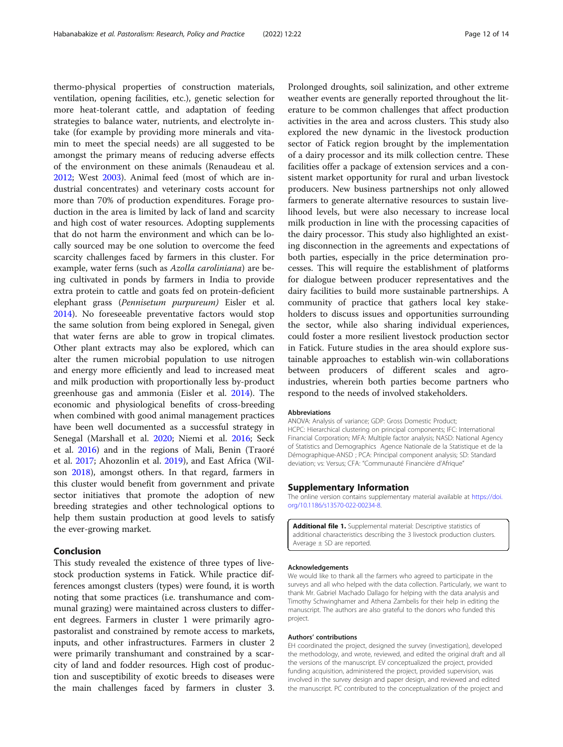thermo-physical properties of construction materials, ventilation, opening facilities, etc.), genetic selection for more heat-tolerant cattle, and adaptation of feeding strategies to balance water, nutrients, and electrolyte intake (for example by providing more minerals and vitamin to meet the special needs) are all suggested to be amongst the primary means of reducing adverse effects of the environment on these animals (Renaudeau et al. [2012](#page-13-0); West [2003](#page-13-0)). Animal feed (most of which are industrial concentrates) and veterinary costs account for more than 70% of production expenditures. Forage production in the area is limited by lack of land and scarcity and high cost of water resources. Adopting supplements that do not harm the environment and which can be locally sourced may be one solution to overcome the feed scarcity challenges faced by farmers in this cluster. For example, water ferns (such as Azolla caroliniana) are being cultivated in ponds by farmers in India to provide extra protein to cattle and goats fed on protein-deficient elephant grass (Pennisetum purpureum) Eisler et al. [2014](#page-12-0)). No foreseeable preventative factors would stop the same solution from being explored in Senegal, given that water ferns are able to grow in tropical climates. Other plant extracts may also be explored, which can alter the rumen microbial population to use nitrogen and energy more efficiently and lead to increased meat and milk production with proportionally less by-product greenhouse gas and ammonia (Eisler et al. [2014](#page-12-0)). The economic and physiological benefits of cross-breeding when combined with good animal management practices have been well documented as a successful strategy in Senegal (Marshall et al. [2020](#page-13-0); Niemi et al. [2016;](#page-13-0) Seck et al. [2016](#page-13-0)) and in the regions of Mali, Benin (Traoré et al. [2017](#page-13-0); Ahozonlin et al. [2019\)](#page-12-0), and East Africa (Wilson [2018\)](#page-13-0), amongst others. In that regard, farmers in this cluster would benefit from government and private sector initiatives that promote the adoption of new breeding strategies and other technological options to help them sustain production at good levels to satisfy the ever-growing market.

#### Conclusion

This study revealed the existence of three types of livestock production systems in Fatick. While practice differences amongst clusters (types) were found, it is worth noting that some practices (i.e. transhumance and communal grazing) were maintained across clusters to different degrees. Farmers in cluster 1 were primarily agropastoralist and constrained by remote access to markets, inputs, and other infrastructures. Farmers in cluster 2 were primarily transhumant and constrained by a scarcity of land and fodder resources. High cost of production and susceptibility of exotic breeds to diseases were the main challenges faced by farmers in cluster 3.

Prolonged droughts, soil salinization, and other extreme weather events are generally reported throughout the literature to be common challenges that affect production activities in the area and across clusters. This study also explored the new dynamic in the livestock production sector of Fatick region brought by the implementation of a dairy processor and its milk collection centre. These facilities offer a package of extension services and a consistent market opportunity for rural and urban livestock producers. New business partnerships not only allowed farmers to generate alternative resources to sustain livelihood levels, but were also necessary to increase local milk production in line with the processing capacities of the dairy processor. This study also highlighted an existing disconnection in the agreements and expectations of both parties, especially in the price determination processes. This will require the establishment of platforms for dialogue between producer representatives and the dairy facilities to build more sustainable partnerships. A community of practice that gathers local key stakeholders to discuss issues and opportunities surrounding the sector, while also sharing individual experiences, could foster a more resilient livestock production sector in Fatick. Future studies in the area should explore sustainable approaches to establish win-win collaborations between producers of different scales and agroindustries, wherein both parties become partners who respond to the needs of involved stakeholders.

#### Abbreviations

ANOVA: Analysis of variance; GDP: Gross Domestic Product; HCPC: Hierarchical clustering on principal components; IFC: International Financial Corporation; MFA: Multiple factor analysis; NASD: National Agency of Statistics and Demographics Agence Nationale de la Statistique et de la Démographique-ANSD ; PCA: Principal component analysis; SD: Standard deviation; vs: Versus; CFA: "Communauté Financière d'Afrique"

#### Supplementary Information

The online version contains supplementary material available at [https://doi.](https://doi.org/10.1186/s13570-022-00234-8) [org/10.1186/s13570-022-00234-8.](https://doi.org/10.1186/s13570-022-00234-8)

Additional file 1. Supplemental material: Descriptive statistics of additional characteristics describing the 3 livestock production clusters. Average ± SD are reported.

#### Acknowledgements

We would like to thank all the farmers who agreed to participate in the surveys and all who helped with the data collection. Particularly, we want to thank Mr. Gabriel Machado Dallago for helping with the data analysis and Timothy Schwinghamer and Athena Zambelis for their help in editing the manuscript. The authors are also grateful to the donors who funded this project.

#### Authors' contributions

EH coordinated the project, designed the survey (investigation), developed the methodology, and wrote, reviewed, and edited the original draft and all the versions of the manuscript. EV conceptualized the project, provided funding acquisition, administered the project, provided supervision, was involved in the survey design and paper design, and reviewed and edited the manuscript. PC contributed to the conceptualization of the project and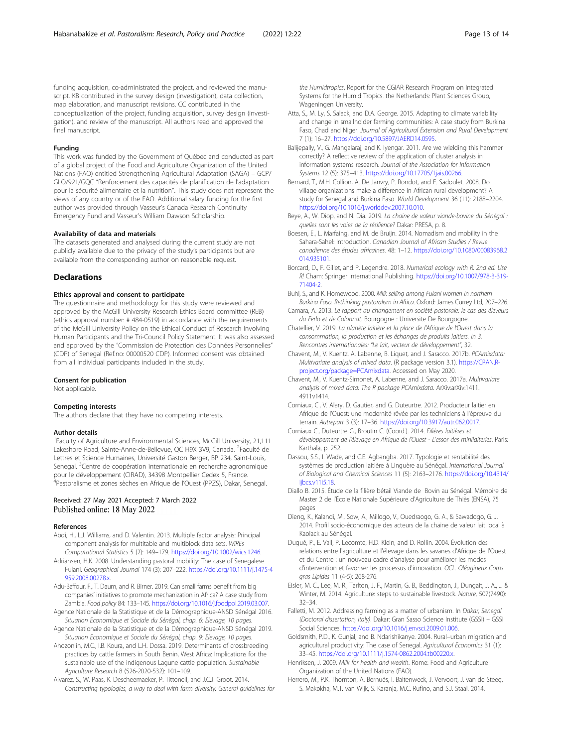<span id="page-12-0"></span>funding acquisition, co-administrated the project, and reviewed the manuscript. KB contributed in the survey design (investigation), data collection, map elaboration, and manuscript revisions. CC contributed in the conceptualization of the project, funding acquisition, survey design (investigation), and review of the manuscript. All authors read and approved the final manuscript.

#### Funding

This work was funded by the Government of Québec and conducted as part of a global project of the Food and Agriculture Organization of the United Nations (FAO) entitled Strengthening Agricultural Adaptation (SAGA) – GCP/ GLO/921/GQC "Renforcement des capacités de planification de l'adaptation pour la sécurité alimentaire et la nutrition". This study does not represent the views of any country or of the FAO. Additional salary funding for the first author was provided through Vasseur's Canada Research Continuity Emergency Fund and Vasseur's William Dawson Scholarship.

#### Availability of data and materials

The datasets generated and analysed during the current study are not publicly available due to the privacy of the study's participants but are available from the corresponding author on reasonable request.

#### **Declarations**

#### Ethics approval and consent to participate

The questionnaire and methodology for this study were reviewed and approved by the McGill University Research Ethics Board committee (REB) (ethics approval number: # 484-0519) in accordance with the requirements of the McGill University Policy on the Ethical Conduct of Research Involving Human Participants and the Tri-Council Policy Statement. It was also assessed and approved by the "Commission de Protection des Données Personnelles" (CDP) of Senegal (Ref.no: 00000520 CDP). Informed consent was obtained from all individual participants included in the study.

#### Consent for publication

Not applicable.

#### Competing interests

The authors declare that they have no competing interests.

#### Author details

<sup>1</sup>Faculty of Agriculture and Environmental Sciences, McGill University, 21,111 Lakeshore Road, Sainte-Anne-de-Bellevue, QC H9X 3V9, Canada. <sup>2</sup>Faculté de Lettres et Science Humaines, Université Gaston Berger, BP 234, Saint-Louis, Senegal. <sup>3</sup>Centre de coopération internationale en recherche agronomique pour le développement (CIRAD), 34398 Montpellier Cedex 5, France. 4Pastoralisme et zones sèches en Afrique de l'Ouest (PPZS), Dakar, Senegal.

#### Received: 27 May 2021 Accepted: 7 March 2022 Published online: 18 May 2022

#### References

- Abdi, H., L.J. Williams, and D. Valentin. 2013. Multiple factor analysis: Principal component analysis for multitable and multiblock data sets. WIREs Computational Statistics 5 (2): 149–179. [https://doi.org/10.1002/wics.1246.](https://doi.org/10.1002/wics.1246)
- Adriansen, H.K. 2008. Understanding pastoral mobility: The case of Senegalese Fulani. Geographical Journal 174 (3): 207–222. [https://doi.org/10.1111/j.1475-4](https://doi.org/10.1111/j.1475-4959.2008.00278.x) [959.2008.00278.x](https://doi.org/10.1111/j.1475-4959.2008.00278.x).
- Adu-Baffour, F., T. Daum, and R. Birner. 2019. Can small farms benefit from big companies' initiatives to promote mechanization in Africa? A case study from Zambia. Food policy 84: 133–145. <https://doi.org/10.1016/j.foodpol.2019.03.007>.
- Agence Nationale de la Statistique et de la Démographique-ANSD Sénégal 2016. Situation Economique et Sociale du Sénégal, chap. 6: Elevage, 10 pages.
- Agence Nationale de la Statistique et de la Démographique-ANSD Sénégal 2019. Situation Economique et Sociale du Sénégal, chap. 9: Elevage, 10 pages.
- Ahozonlin, M.C., I.B. Koura, and L.H. Dossa. 2019. Determinants of crossbreeding practices by cattle farmers in South Benin, West Africa: Implications for the sustainable use of the indigenous Lagune cattle population. Sustainable Agriculture Research 8 (526-2020-532): 101–109.

Alvarez, S., W. Paas, K. Descheemaeker, P. Tittonell, and J.C.J. Groot. 2014. Constructing typologies, a way to deal with farm diversity: General guidelines for

the Humidtropics, Report for the CGIAR Research Program on Integrated Systems for the Humid Tropics. the Netherlands: Plant Sciences Group, Wageningen University.

- Atta, S., M. Ly, S. Salack, and D.A. George. 2015. Adapting to climate variability and change in smallholder farming communities: A case study from Burkina Faso, Chad and Niger. Journal of Agricultural Extension and Rural Development 7 (1): 16–27. <https://doi.org/10.5897/JAERD14.0595>.
- Balijepally, V., G. Mangalaraj, and K. Iyengar. 2011. Are we wielding this hammer correctly? A reflective review of the application of cluster analysis in information systems research. Journal of the Association for Information Systems 12 (5): 375–413. <https://doi.org/10.17705/1jais.00266>.
- Bernard, T., M.H. Collion, A. De Janvry, P. Rondot, and E. Sadoulet. 2008. Do village organizations make a difference in African rural development? A study for Senegal and Burkina Faso. World Development 36 (11): 2188–2204. [https://doi.org/10.1016/j.worlddev.2007.10.010.](https://doi.org/10.1016/j.worlddev.2007.10.010)
- Beye, A., W. Diop, and N. Dia. 2019. La chaine de valeur viande-bovine du Sénégal : quelles sont les voies de la résilience? Dakar: PRESA, p. 8.
- Boesen, E., L. Marfaing, and M. de Bruijn. 2014. Nomadism and mobility in the Sahara-Sahel: Introduction. Canadian Journal of African Studies / Revue canadienne des études africaines. 48: 1–12. [https://doi.org/10.1080/00083968.2](https://doi.org/10.1080/00083968.2014.935101) [014.935101.](https://doi.org/10.1080/00083968.2014.935101)
- Borcard, D., F. Gillet, and P. Legendre. 2018. Numerical ecology with R. 2nd ed. Use R! Cham: Springer International Publishing. [https://doi.org/10.1007/978-3-319-](https://doi.org/10.1007/978-3-319-71404-2) [71404-2](https://doi.org/10.1007/978-3-319-71404-2).
- Buhl, S., and K. Homewood. 2000. Milk selling among Fulani women in northern Burkina Faso. Rethinking pastoralism in Africa. Oxford: James Currey Ltd, 207–226.
- Camara, A. 2013. Le rapport au changement en société pastorale: le cas des éleveurs du Ferlo et de Colonnat. Bourgogne : Universite De Bourgogne.
- Chatellier, V. 2019. La planète laitière et la place de l'Afrique de l'Ouest dans la consommation, la production et les échanges de produits laitiers. In 3. Rencontres internationales: "Le lait, vecteur de développement", 32.
- Chavent, M., V. Kuentz, A. Labenne, B. Liquet, and J. Saracco. 2017b. PCAmixdata: Multivariate analysis of mixed data. (R package version 3.1). [https://CRAN.R](https://cran.r-project.org/package=PCAmixdata)[project.org/package=PCAmixdata](https://cran.r-project.org/package=PCAmixdata). Accessed on May 2020.
- Chavent, M., V. Kuentz-Simonet, A. Labenne, and J. Saracco. 2017a. Multivariate analysis of mixed data: The R package PCAmixdata. ArXiv:arXiv:1411. 4911v1414.
- Corniaux, C., V. Alary, D. Gautier, and G. Duteurtre. 2012. Producteur laitier en Afrique de l'Ouest: une modernité rêvée par les techniciens à l'épreuve du terrain. Autrepart 3 (3): 17–36. <https://doi.org/10.3917/autr.062.0017>.
- Corniaux C., Duteurtre G., Broutin C. (Coord.). 2014. Filières laitières et développement de l'élevage en Afrique de l'Ouest - L'essor des minilaiteries. Paris: Karthala, p. 252.
- Dassou, S.S., I. Wade, and C.E. Agbangba. 2017. Typologie et rentabilité des systèmes de production laitière à Linguère au Sénégal. International Journal of Biological and Chemical Sciences 11 (5): 2163–2176. [https://doi.org/10.4314/](https://doi.org/10.4314/ijbcs.v11i5.18) [ijbcs.v11i5.18](https://doi.org/10.4314/ijbcs.v11i5.18).
- Diallo B. 2015. Étude de la filière bétail Viande de Bovin au Sénégal. Mémoire de Master 2 de l'École Nationale Supérieure d'Agriculture de Thiès (ENSA), 75 pages
- Dieng, K., Kalandi, M., Sow, A., Millogo, V., Ouedraogo, G. A., & Sawadogo, G. J. 2014. Profil socio-économique des acteurs de la chaine de valeur lait local à Kaolack au Sénégal.
- Dugué, P., E. Vall, P. Lecomte, H.D. Klein, and D. Rollin. 2004. Évolution des relations entre l'agriculture et l'élevage dans les savanes d'Afrique de l'Ouest et du Centre : un nouveau cadre d'analyse pour améliorer les modes d'intervention et favoriser les processus d'innovation. OCL. Oléagineux Corps gras Lipides 11 (4-5): 268-276.
- Eisler, M. C., Lee, M. R., Tarlton, J. F., Martin, G. B., Beddington, J., Dungait, J. A., ... & Winter, M. 2014. Agriculture: steps to sustainable livestock. Nature, 507(7490): 32–34.
- Falletti, M. 2012. Addressing farming as a matter of urbanism. In Dakar, Senegal (Doctoral dissertation, Italy). Dakar: Gran Sasso Science Institute (GSSI) – GSSI Social Sciences. <https://doi.org/10.1016/j.envsci.2009.01.006>.
- Goldsmith, P.D., K. Gunjal, and B. Ndarishikanye. 2004. Rural–urban migration and agricultural productivity: The case of Senegal. Agricultural Economics 31 (1): 33–45. [https://doi.org/10.1111/j.1574-0862.2004.tb00220.x.](https://doi.org/10.1111/j.1574-0862.2004.tb00220.x)
- Henriksen, J. 2009. Milk for health and wealth. Rome: Food and Agriculture Organization of the United Nations (FAO).
- Herrero, M., P.K. Thornton, A. Bernués, I. Baltenweck, J. Vervoort, J. van de Steeg, S. Makokha, M.T. van Wijk, S. Karanja, M.C. Rufino, and S.J. Staal. 2014.